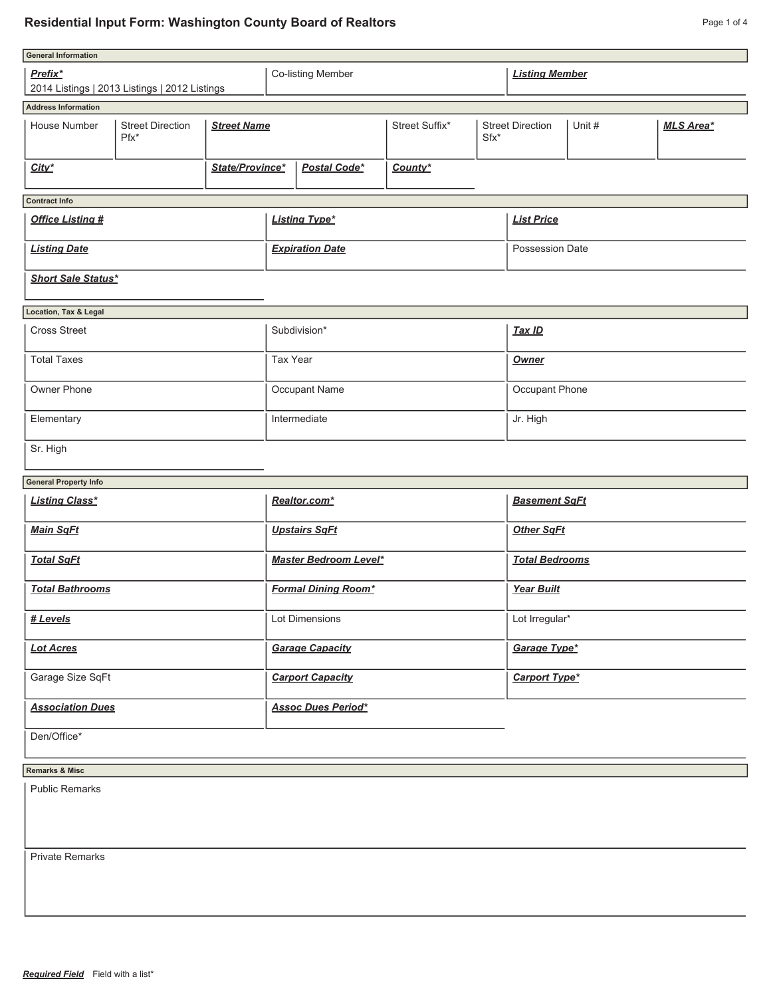## **Residential Input Form: Washington County Board of Realtors Page 1 of 4** Page 1 of 4

| <b>General Information</b>                                              |  |  |                              |              |                |                       |                         |        |                  |  |  |  |  |  |  |
|-------------------------------------------------------------------------|--|--|------------------------------|--------------|----------------|-----------------------|-------------------------|--------|------------------|--|--|--|--|--|--|
| Prefix*                                                                 |  |  | Co-listing Member            |              |                | <b>Listing Member</b> |                         |        |                  |  |  |  |  |  |  |
| 2014 Listings   2013 Listings   2012 Listings                           |  |  |                              |              |                |                       |                         |        |                  |  |  |  |  |  |  |
| <b>Address Information</b>                                              |  |  |                              |              |                |                       |                         |        |                  |  |  |  |  |  |  |
| <b>Street Direction</b><br>House Number<br><b>Street Name</b><br>$Pfx*$ |  |  |                              |              | Street Suffix* | $Sfx*$                | <b>Street Direction</b> | Unit # | <b>MLS Area*</b> |  |  |  |  |  |  |
| State/Province*<br>City*                                                |  |  |                              | Postal Code* | County*        |                       |                         |        |                  |  |  |  |  |  |  |
| <b>Contract Info</b>                                                    |  |  |                              |              |                |                       |                         |        |                  |  |  |  |  |  |  |
| <b>Office Listing #</b>                                                 |  |  | <b>Listing Type*</b>         |              |                | <b>List Price</b>     |                         |        |                  |  |  |  |  |  |  |
| <b>Listing Date</b>                                                     |  |  | <b>Expiration Date</b>       |              |                | Possession Date       |                         |        |                  |  |  |  |  |  |  |
| <b>Short Sale Status*</b>                                               |  |  |                              |              |                |                       |                         |        |                  |  |  |  |  |  |  |
| Location, Tax & Legal                                                   |  |  |                              |              |                |                       |                         |        |                  |  |  |  |  |  |  |
| <b>Cross Street</b>                                                     |  |  | Subdivision*                 |              |                | <b>Tax ID</b>         |                         |        |                  |  |  |  |  |  |  |
| <b>Total Taxes</b>                                                      |  |  | <b>Tax Year</b>              |              |                | <b>Owner</b>          |                         |        |                  |  |  |  |  |  |  |
| Owner Phone                                                             |  |  | Occupant Name                |              |                | Occupant Phone        |                         |        |                  |  |  |  |  |  |  |
| Elementary                                                              |  |  | Intermediate                 |              |                | Jr. High              |                         |        |                  |  |  |  |  |  |  |
| Sr. High                                                                |  |  |                              |              |                |                       |                         |        |                  |  |  |  |  |  |  |
| <b>General Property Info</b>                                            |  |  |                              |              |                |                       |                         |        |                  |  |  |  |  |  |  |
| <b>Listing Class*</b>                                                   |  |  | Realtor.com*                 |              |                | <b>Basement SqFt</b>  |                         |        |                  |  |  |  |  |  |  |
| <b>Main SqFt</b>                                                        |  |  | <b>Upstairs SqFt</b>         |              |                | <b>Other SqFt</b>     |                         |        |                  |  |  |  |  |  |  |
| <b>Total SqFt</b>                                                       |  |  | <b>Master Bedroom Level*</b> |              |                | <b>Total Bedrooms</b> |                         |        |                  |  |  |  |  |  |  |
| <b>Total Bathrooms</b>                                                  |  |  | <b>Formal Dining Room*</b>   |              |                | <b>Year Built</b>     |                         |        |                  |  |  |  |  |  |  |
| # Levels                                                                |  |  | Lot Dimensions               |              |                | Lot Irregular*        |                         |        |                  |  |  |  |  |  |  |
| <b>Lot Acres</b>                                                        |  |  | <b>Garage Capacity</b>       |              |                | Garage Type*          |                         |        |                  |  |  |  |  |  |  |
| Garage Size SqFt                                                        |  |  | <b>Carport Capacity</b>      |              |                | <b>Carport Type*</b>  |                         |        |                  |  |  |  |  |  |  |
| <b>Association Dues</b>                                                 |  |  | <b>Assoc Dues Period*</b>    |              |                |                       |                         |        |                  |  |  |  |  |  |  |
| Den/Office*                                                             |  |  |                              |              |                |                       |                         |        |                  |  |  |  |  |  |  |
| <b>Remarks &amp; Misc</b>                                               |  |  |                              |              |                |                       |                         |        |                  |  |  |  |  |  |  |
| <b>Public Remarks</b>                                                   |  |  |                              |              |                |                       |                         |        |                  |  |  |  |  |  |  |

Private Remarks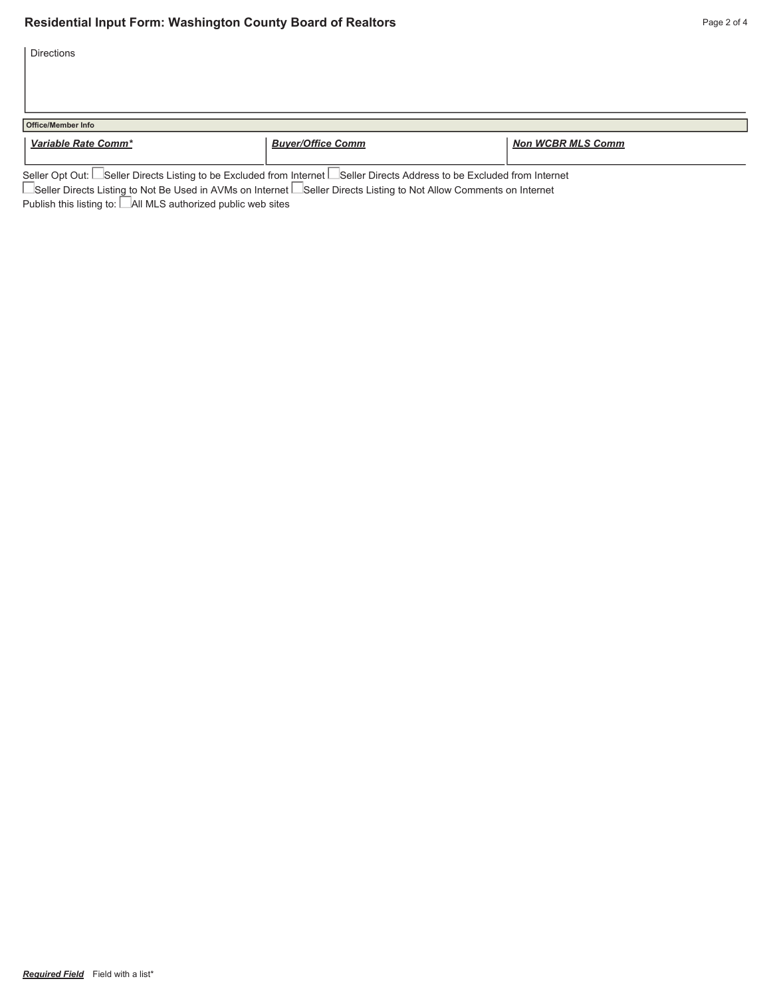Directions

| <b>Office/Member Info</b> |                          |                          |
|---------------------------|--------------------------|--------------------------|
| Variable Rate Comm*       | <b>Buyer/Office Comm</b> | <b>Non WCBR MLS Comm</b> |
| $\overline{\phantom{a}}$  | $-$                      |                          |

Seller Opt Out: Seller Directs Listing to be Excluded from Internet Seller Directs Address to be Excluded from Internet

■Seller Directs Listing to Not Be Used in AVMs on Internet ■Seller Directs Listing to Not Allow Comments on Internet

Publish this listing to: All MLS authorized public web sites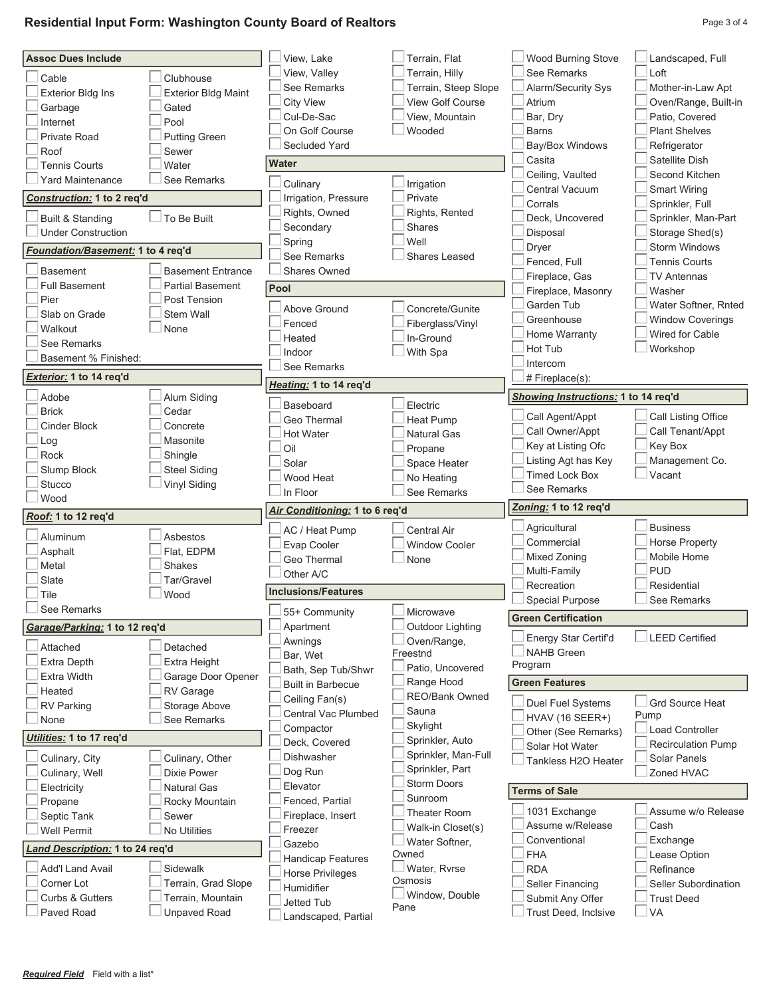## **Residential Input Form: Washington County Board of Realtors** Page 10 1 2012 12:30 Page 3 of 4

| <b>Assoc Dues Include</b>         |                                          | View, Lake                           | Terrain, Flat                          | Wood Burning Stove                       | Landscaped, Full                        |
|-----------------------------------|------------------------------------------|--------------------------------------|----------------------------------------|------------------------------------------|-----------------------------------------|
| Cable                             | Clubhouse                                | View, Valley                         | Terrain, Hilly                         | See Remarks                              | Loft                                    |
| <b>Exterior Bldg Ins</b>          | <b>Exterior Bldg Maint</b>               | See Remarks                          | Terrain, Steep Slope                   | Alarm/Security Sys                       | Mother-in-Law Apt                       |
| Garbage                           | Gated                                    | <b>City View</b>                     | View Golf Course                       | Atrium                                   | Oven/Range, Built-in                    |
| Internet                          | Pool                                     | Cul-De-Sac                           | View. Mountain                         | Bar, Dry                                 | Patio, Covered                          |
| Private Road                      | <b>Putting Green</b>                     | On Golf Course                       | Wooded                                 | <b>Barns</b>                             | <b>Plant Shelves</b>                    |
| Roof                              | Sewer                                    | Secluded Yard                        |                                        | Bay/Box Windows                          | Refrigerator                            |
| <b>Tennis Courts</b>              | Water                                    | Water                                |                                        | Casita                                   | Satellite Dish                          |
| Yard Maintenance                  | See Remarks                              | Culinary                             | Irrigation                             | Ceiling, Vaulted                         | Second Kitchen                          |
| Construction: 1 to 2 req'd        |                                          | Irrigation, Pressure                 | Private                                | Central Vacuum                           | Smart Wiring                            |
|                                   |                                          | Rights, Owned                        | Rights, Rented                         | Corrals                                  | Sprinkler, Full                         |
| <b>Built &amp; Standing</b>       | To Be Built                              | Secondary                            | Shares                                 | Deck, Uncovered                          | Sprinkler, Man-Part                     |
| <b>Under Construction</b>         |                                          | Spring                               | Well                                   | Disposal                                 | Storage Shed(s)<br><b>Storm Windows</b> |
| Foundation/Basement: 1 to 4 req'd |                                          | See Remarks                          | <b>Shares Leased</b>                   | Dryer<br>Fenced, Full                    | <b>Tennis Courts</b>                    |
| <b>Basement</b>                   | <b>Basement Entrance</b>                 | Shares Owned                         |                                        | Fireplace, Gas                           | <b>TV Antennas</b>                      |
| <b>Full Basement</b>              | <b>Partial Basement</b>                  | Pool                                 |                                        | Fireplace, Masonry                       | Washer                                  |
| Pier                              | Post Tension                             | Above Ground                         | Concrete/Gunite                        | Garden Tub                               | Water Softner, Rnted                    |
| Slab on Grade                     | Stem Wall                                | Fenced                               | Fiberglass/Vinyl                       | Greenhouse                               | <b>Window Coverings</b>                 |
| Walkout                           | None                                     | Heated                               | In-Ground                              | Home Warranty                            | Wired for Cable                         |
| See Remarks                       |                                          | Indoor                               | With Spa                               | Hot Tub                                  | Workshop                                |
| Basement % Finished:              |                                          | See Remarks                          |                                        | Intercom                                 |                                         |
| Exterior: 1 to 14 req'd           |                                          |                                      |                                        | # Fireplace(s):                          |                                         |
| Adobe                             | Alum Siding                              | Heating: 1 to 14 req'd               |                                        | Showing Instructions: 1 to 14 req'd      |                                         |
| <b>Brick</b>                      | Cedar                                    | Baseboard                            | Electric                               | Call Agent/Appt                          | Call Listing Office                     |
| Cinder Block                      | Concrete                                 | Geo Thermal                          | <b>Heat Pump</b>                       | Call Owner/Appt                          | Call Tenant/Appt                        |
| Log                               | Masonite                                 | Hot Water                            | Natural Gas                            | Key at Listing Ofc                       | Key Box                                 |
| Rock                              | Shingle                                  | Oil                                  | Propane                                | Listing Agt has Key                      | Management Co.                          |
| Slump Block                       | <b>Steel Siding</b>                      | Solar                                | Space Heater<br>No Heating             | <b>Timed Lock Box</b>                    | Vacant                                  |
|                                   |                                          | Wood Heat                            |                                        |                                          |                                         |
| Stucco                            | Vinyl Siding                             |                                      |                                        |                                          |                                         |
| Wood                              |                                          | In Floor                             | See Remarks                            | See Remarks                              |                                         |
| Roof: 1 to 12 req'd               |                                          | Air Conditioning: 1 to 6 req'd       |                                        | Zoning: 1 to 12 req'd                    |                                         |
| Aluminum                          | <b>Asbestos</b>                          | AC / Heat Pump                       | Central Air                            | Agricultural                             | <b>Business</b>                         |
| Asphalt                           | Flat, EDPM                               | Evap Cooler                          | <b>Window Cooler</b>                   | Commercial                               | <b>Horse Property</b>                   |
| Metal                             | <b>Shakes</b>                            | <b>Geo Thermal</b>                   | None                                   | Mixed Zoning                             | Mobile Home                             |
| Slate                             | Tar/Gravel                               | Other A/C                            |                                        | Multi-Family                             | <b>PUD</b><br>Residential               |
| Tile                              | Wood                                     | <b>Inclusions/Features</b>           |                                        | Recreation                               | See Remarks                             |
| See Remarks                       |                                          | 55+ Community                        | Microwave                              | <b>Special Purpose</b>                   |                                         |
| Garage/Parking: 1 to 12 req'd     |                                          | Apartment                            | Outdoor Lighting                       | <b>Green Certification</b>               |                                         |
| Attached                          | Detached                                 | Awnings                              | Oven/Range.                            | Energy Star Certif'd                     | <b>LEED Certified</b>                   |
| Extra Depth                       | Extra Height                             | Bar, Wet                             | Freestnd                               | <b>NAHB Green</b>                        |                                         |
| <b>Extra Width</b>                | Garage Door Opener                       | Bath, Sep Tub/Shwr                   | Patio, Uncovered                       | Program                                  |                                         |
| Heated                            | RV Garage                                | <b>Built in Barbecue</b>             | Range Hood                             | <b>Green Features</b>                    |                                         |
| RV Parking                        | Storage Above                            | Ceiling Fan(s)                       | REO/Bank Owned                         | Duel Fuel Systems                        | <b>Grd Source Heat</b>                  |
| None                              | See Remarks                              | Central Vac Plumbed                  | Sauna                                  | <b>HVAV (16 SEER+)</b>                   | Pump                                    |
| Utilities: 1 to 17 req'd          |                                          | Compactor                            | Skylight                               | Other (See Remarks)                      | <b>Load Controller</b>                  |
|                                   |                                          | Deck, Covered                        | Sprinkler, Auto                        | Solar Hot Water                          | <b>Recirculation Pump</b>               |
| Culinary, City                    | Culinary, Other                          | Dishwasher                           | Sprinkler, Man-Full<br>Sprinkler, Part | Tankless H2O Heater                      | Solar Panels                            |
| Culinary, Well                    | <b>Dixie Power</b>                       | Dog Run<br>Elevator                  | <b>Storm Doors</b>                     |                                          | Zoned HVAC                              |
| Electricity                       | <b>Natural Gas</b>                       |                                      | Sunroom                                | <b>Terms of Sale</b>                     |                                         |
| Propane<br>Septic Tank            | Rocky Mountain<br>Sewer                  | Fenced, Partial<br>Fireplace, Insert | Theater Room                           | 1031 Exchange                            | Assume w/o Release                      |
| Well Permit                       | No Utilities                             | Freezer                              | Walk-in Closet(s)                      | Assume w/Release                         | Cash                                    |
|                                   |                                          | Gazebo                               | Water Softner,                         | Conventional                             | Exchange                                |
| and Description: 1 to 24 req'd    |                                          | Handicap Features                    | Owned                                  | <b>FHA</b>                               | Lease Option                            |
| <b>Add'l Land Avail</b>           | Sidewalk                                 | <b>Horse Privileges</b>              | Water, Rvrse                           | <b>RDA</b>                               | Refinance                               |
| Corner Lot                        | Terrain, Grad Slope                      | Humidifier                           | Osmosis                                | Seller Financing                         | Seller Subordination                    |
| Curbs & Gutters<br>Paved Road     | Terrain, Mountain<br><b>Unpaved Road</b> | <b>Jetted Tub</b>                    | Window, Double<br>Pane                 | Submit Any Offer<br>Trust Deed, Inclsive | <b>Trust Deed</b><br>$\sqcup$ VA        |